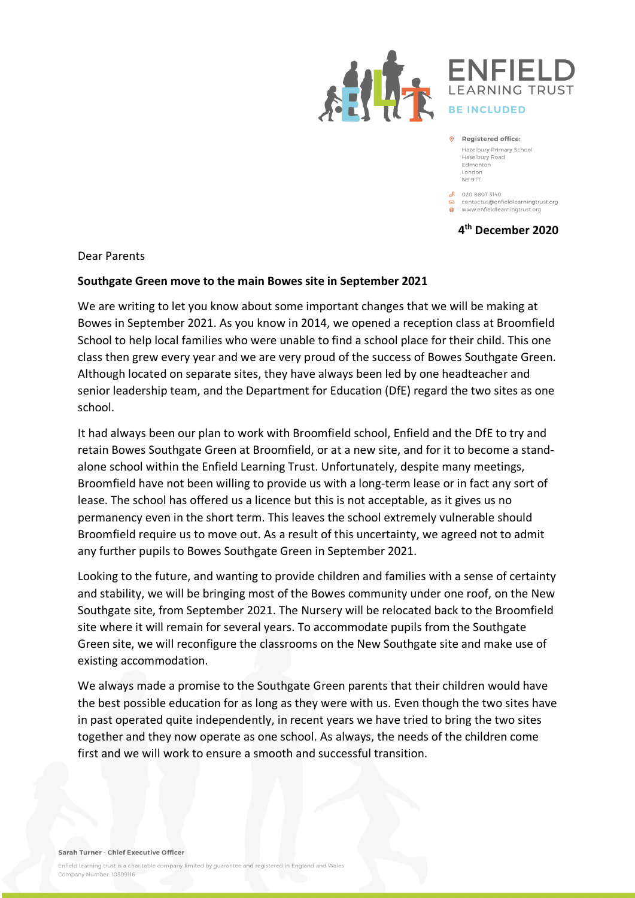



9 Registered office: Hazelbury Primary School Haselbury Road Edmonton London **N9 9TT** 

 $\mathcal{S}$  020 8807 3140 □<br>□ contactus@enfieldlearningtrust.org www.enfieldlearningtrust.org

**4th December 2020**

Dear Parents

## **Southgate Green move to the main Bowes site in September 2021**

We are writing to let you know about some important changes that we will be making at Bowes in September 2021. As you know in 2014, we opened a reception class at Broomfield School to help local families who were unable to find a school place for their child. This one class then grew every year and we are very proud of the success of Bowes Southgate Green. Although located on separate sites, they have always been led by one headteacher and senior leadership team, and the Department for Education (DfE) regard the two sites as one school.

It had always been our plan to work with Broomfield school, Enfield and the DfE to try and retain Bowes Southgate Green at Broomfield, or at a new site, and for it to become a standalone school within the Enfield Learning Trust. Unfortunately, despite many meetings, Broomfield have not been willing to provide us with a long-term lease or in fact any sort of lease. The school has offered us a licence but this is not acceptable, as it gives us no permanency even in the short term. This leaves the school extremely vulnerable should Broomfield require us to move out. As a result of this uncertainty, we agreed not to admit any further pupils to Bowes Southgate Green in September 2021.

Looking to the future, and wanting to provide children and families with a sense of certainty and stability, we will be bringing most of the Bowes community under one roof, on the New Southgate site, from September 2021. The Nursery will be relocated back to the Broomfield site where it will remain for several years. To accommodate pupils from the Southgate Green site, we will reconfigure the classrooms on the New Southgate site and make use of existing accommodation.

We always made a promise to the Southgate Green parents that their children would have the best possible education for as long as they were with us. Even though the two sites have in past operated quite independently, in recent years we have tried to bring the two sites together and they now operate as one school. As always, the needs of the children come first and we will work to ensure a smooth and successful transition.